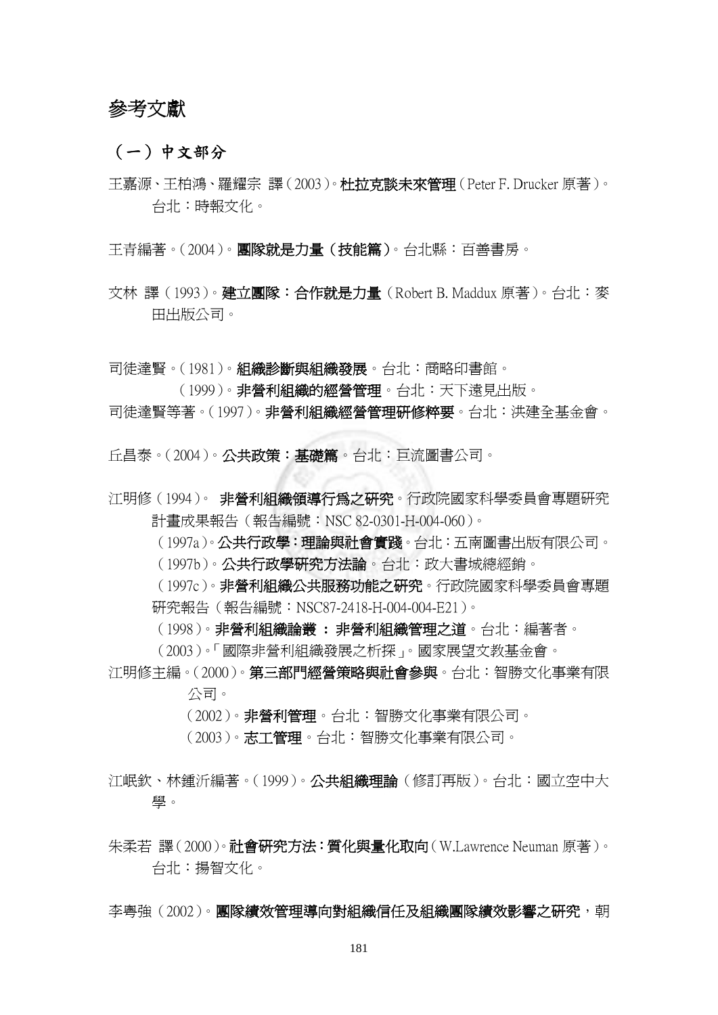## 參考文獻

## (一)中文部分

王嘉源、王柏鴻、羅耀宗 譯(2003)。杜拉克談未來管理(Peter F. Drucker 原著)。 台北:時報文化。

王青編著。(2004)。團隊就是力量(技能篇)。台北縣:百善書房。

文林 譯(1993)。 建立團隊: 合作就是力量 (Robert B. Maddux 原著)。 台北: 麥 田出版公司。

司徒達腎。(1981)。組織診斷與組織發展。台北:商略印書館。

(1999)。非營利組織的經營管理。台北:天下遠見出版。

司徒達賢等著。(1997)。非營利組織經營管理研修粹要。台北:洪建全基金會。

丘昌泰。(2004)。公共政策:基礎篇。台北:巨流圖書公司。

- 江明修(1994)。 非營利組織領導行為之研究。行政院國家科學委員會專題研究 計畫成果報告(報告編號:NSC 82-0301-H-004-060)。
	- (1997a)。公共行政學:理論與社會實踐。台北:五南圖書出版有限公司。
	- (1997b)。公共行政學研究方法論。台北:政大書城總經銷。
	- (1997c)。非營利組織公共服務功能之研究。行政院國家科學委員會專題 研究報告(報告編號:NSC87-2418-H-004-004-E21)。
		- (1998)。非營利組織論叢 **:** 非營利組織管理之道。台北:編著者。
	- (2003)。「國際非營利組織發展之析探」。國家展望文教基金會。
- 江明修主編。(2000)。第三部門經營策略與社會參與。台北:智勝文化事業有限 公司。
	- (2002)。非營利管理。台北:智勝文化事業有限公司。
	- (2003)。志工管理。台北:智勝文化事業有限公司。
- 江岷欽、林鍾沂編著。(1999)。**公共組織理論**(修訂再版)。台北:國立空中大 學。
- 朱柔若 譯(2000)。社會研究方法: 質化與量化取向(W.Lawrence Neuman 原著)。 台北:揚智文化。

李粤強(2002)。團隊績效管理導向對組織信任及組織團隊績效影響之研究,朝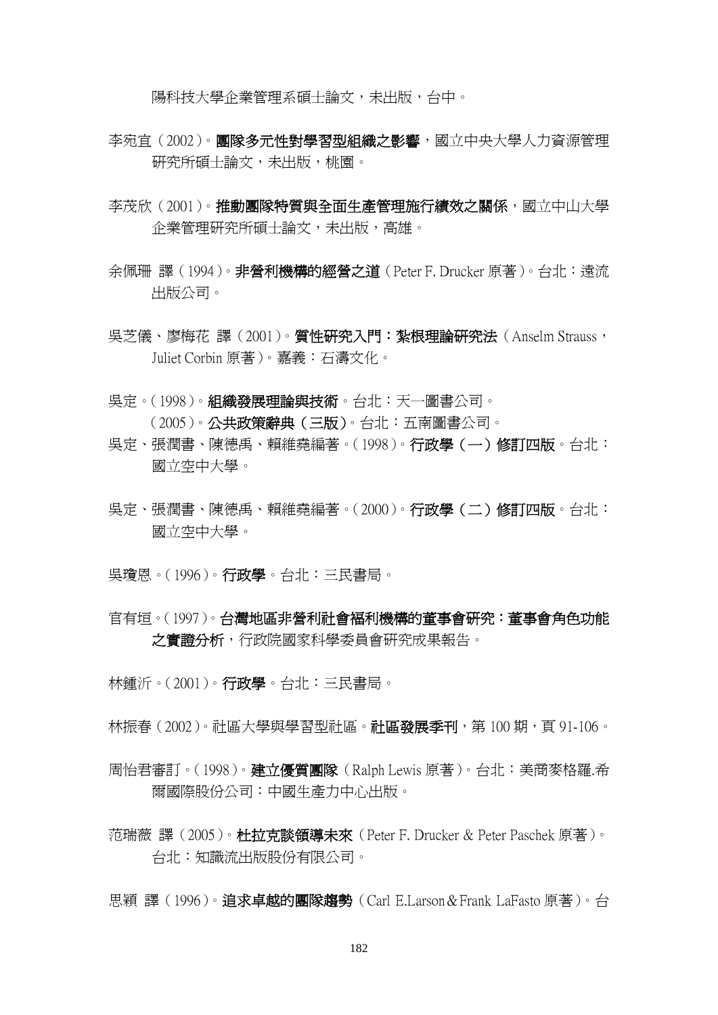陽科技大學企業管理系碩士論文,未出版,台中。

- 李宛宜(2002)。團隊多元性對學習型組織之影響,國立中央大學人力資源管理 研究所碩士論文,未出版,桃園。
- 李茂欣(2001)。推動團隊特質與全面生產管理施行績效之關係,國立中山大學 企業管理研究所碩士論文,未出版,高雄。
- 余佩珊 譯(1994)。 非營利機構的經營之道 (Peter F. Drucker 原著)。 台北: 遠流 出版公司。
- 吳芝儀、廖梅花 譯 (2001)。 質性研究入門: 紮根理論研究法 (Anselm Strauss, Juliet Corbin 原著)。嘉義:石濤文化。
- 吳定。(1998)。組織發展理論與技術。台北:天一圖書公司。 (2005)。公共政策辭典(三版)。台北:五南圖書公司。
- 吳定、張潤書、陳德禹、賴維堯編著。(1998)。行政學(一)修訂四版。台北: 國立空中大學。
- 吳定、張潤書、陳德禹、賴維堯編著。(2000)。行政學(二)修訂四版。台北: 國立空中大學。

吳瓊恩。(1996)。行政學。台北:三民書局。

- 官有垣。(1997)。台灣地區非營利計會福利機構的董事會研究:董事會角色功能 之實證分析,行政院國家科學委員會研究成果報告。
- 林鍾沂。(2001)。行政學。台北:三民書局。

林振春 (2002)。社區大學與學習型社區。**社區發展季刊**,第 100 期,頁 91-106。

- 周怡君審訂。(1998)。 建立優質團隊 (Ralph Lewis 原著)。 台北: 美商麥格羅.希 爾國際股份公司:中國生產力中心出版。
- 范瑞薇 譯 (2005)。杜拉克談領導未來 (Peter F. Drucker & Peter Paschek 原著)。 台北:知識流出版股份有限公司。

思穎 譯(1996)。 **追求卓越的團隊趨勢**(Carl E.Larson&Frank LaFasto 原著)。 台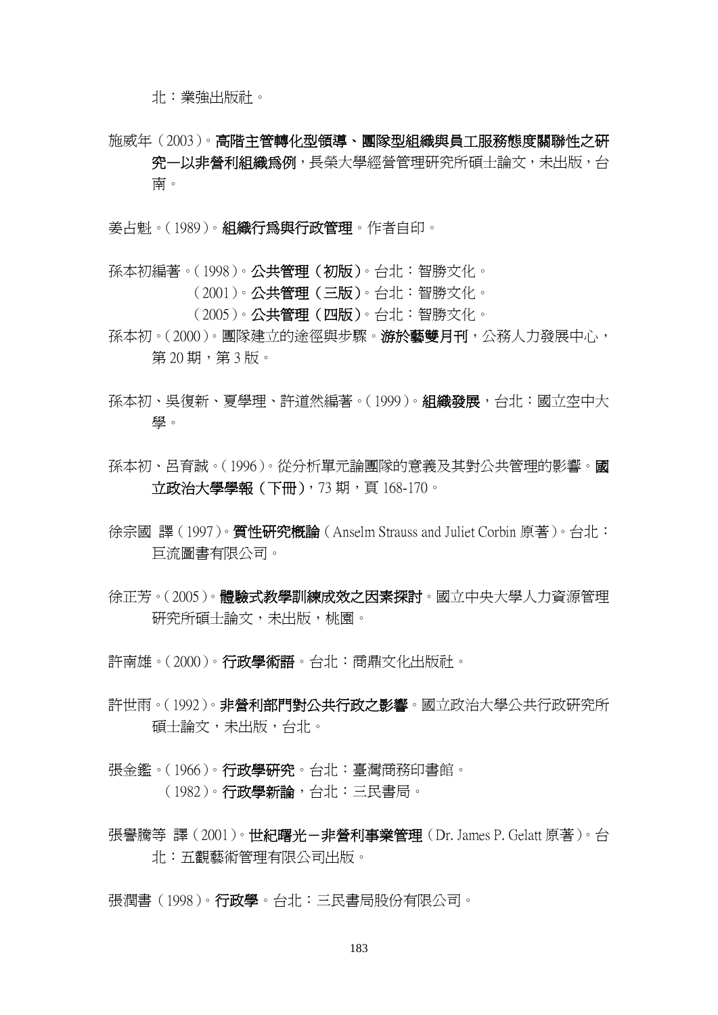北:業強出版社。

施威年(2003)。高階主管轉化型領導、團隊型組織與員工服務態度關聯性之研 究一以非營利組織為例,長榮大學經營管理研究所碩士論文,未出版,台 南。

姜占魁。(1989)。組織行為與行政管理。作者自印。

孫本初編著。(1998)。公**共管理 (初版)**。台北:智勝文化。

- (2001)。公共管理(三版)。台北:智勝文化。
- (2005)。公共管理(四版)。台北:智勝文化。
- 孫本初。(2000)。團隊建立的途徑與步驟。游於藝雙月刊,公務人力發展中心, 第 20 期, 第 3 版。
- 孫本初、吳復新、夏學理、許道然編著。(1999)。**組織發展**,台北:國立空中大 學。
- 孫本初、呂育誠。(1996)。從分析單元論團隊的意義及其對公共管理的影響。國 立政治大學學報(下冊),73期,頁168-170。
- 徐宗國 譯 (1997)。 **質性研究概論** (Anselm Strauss and Juliet Corbin 原著)。 台北: 巨流圖書有限公司。
- 徐正芳。(2005)。體驗式教學訓練成效之因素探討。國立中央大學人力資源管理 研究所碩士論文,未出版,桃園。
- 許南雄。(2000)。行政學術語。台北:商鼎文化出版社。
- 許世雨。(1992)。非營利部門對公共行政之影響。國立政治大學公共行政研究所 碩士論文,未出版,台北。
- 張金鑑。(1966)。行政學研究。台北:臺灣商務印書館。 (1982)。行政學新論,台北:三民書局。
- 張譽騰等 譯 (2001)。 世紀曙光-非營利事業管理 (Dr. James P. Gelatt 原著)。 台 北:五觀藝術管理有限公司出版。

張潤書(1998)。**行政學**。台北:三民書局股份有限公司。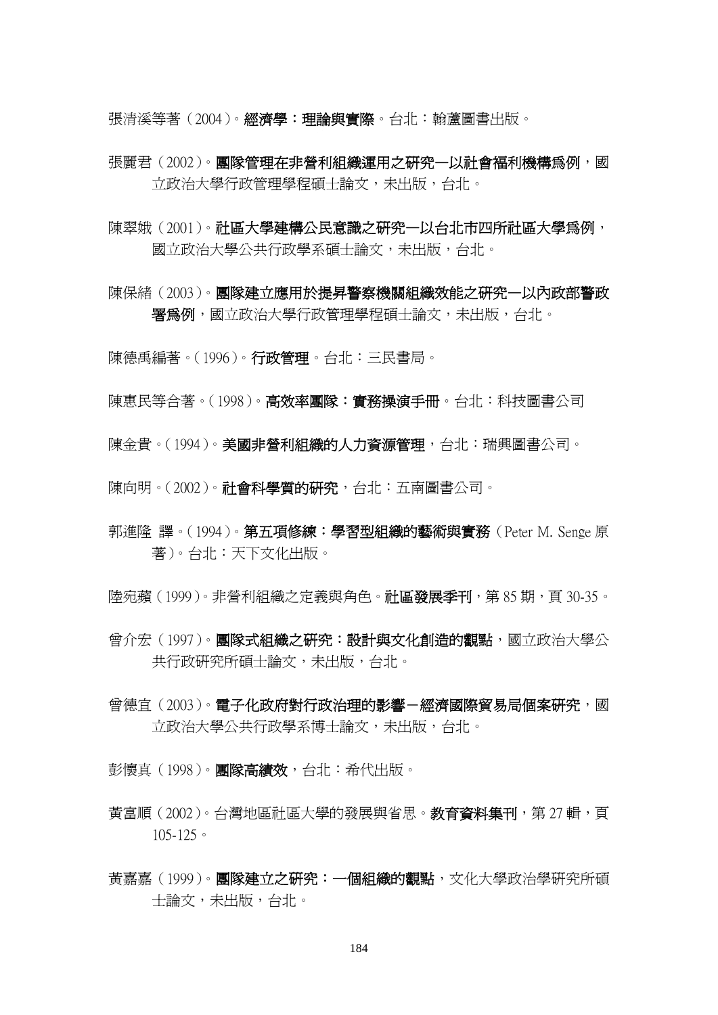張清溪等著 (2004)。**經濟學:理論與實際**。台北:翰蘆圖書出版。

- 張麗君(2002)。團隊管理在非營利組織運用之研究—以社會福利機構爲例,國 立政治大學行政管理學程碩士論文,未出版,台北。
- 陳翠娥(2001)。社區大學建構公民意識之研究—以台北市四所社區大學為例, 國立政治大學公共行政學系碩士論文,未出版,台北。

陳保緒(2003)。 團隊建立應用於提昇警察機關組織效能之研究—以內政部警政 署為例,國立政治大學行政管理學程碩士論文,未出版,台北。

陳德禹編著。(1996)。行政管理。台北:三民書局。

陳惠民等合著。(1998)。**高效率團隊:實務操演手冊**。台北:科技圖書公司

陳金貴。(1994)。美國非營利組織的人力資源管理,台北:瑞興圖書公司。

陳向明。(2002)。**社會科學質的研究**,台北:五南圖書公司。

郭進隆 譯。(1994)。 **第五項修練:學習型組織的藝術與實務** (Peter M. Senge 原 著)。台北:天下文化出版。

陸宛蘋 (1999)。非營利組織之定義與角色。社區發展季刊,第 85期,頁 30-35。

- 曾介宏(1997)。 團隊式組織之研究:設計與文化創造的觀點,國立政治大學公 共行政研究所碩士論文,未出版,台北。
- 會德宜(2003)。電子化政府對行政治理的影響-經濟國際貿易局個案研究,國 立政治大學公共行政學系博士論文,未出版,台北。
- 彭懷真(1998)。 **團隊高績效**,台北:希代出版。
- 黃富順(2002)。台灣地區計區大學的發展與省思。**教育資料集刊**,第 27 輯,百 105-125。
- 黃嘉嘉(1999)。團隊建立之研究:一個組織的觀點,文化大學政治學研究所碩 士論文,未出版,台北。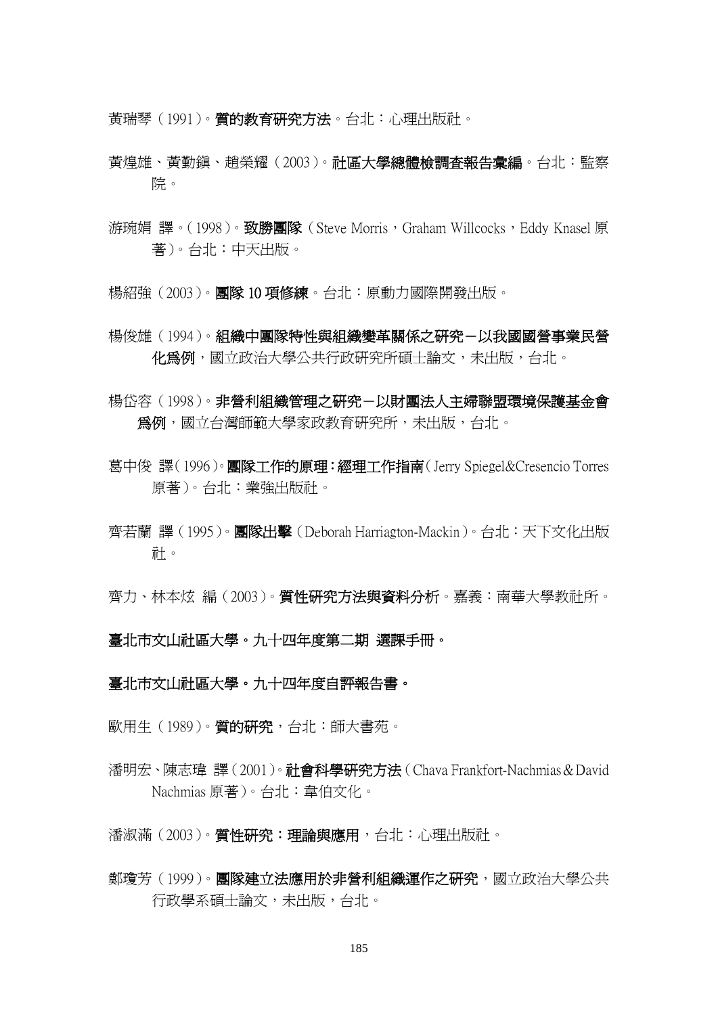黃瑞琴(1991)。質的教育研究方法。台北:心理出版社。

- 黃煌雄、黃勤鎮、稍榮耀 (2003)。**社區大學總體檢調查報告彙編**。台北: 監察 院。
- 游琬娟 譯。(1998)。 **致勝團隊** (Steve Morris, Graham Willcocks, Eddy Knasel 原 著)。台北:中天出版。
- 楊紹強(2003)。團隊 10 項修練。台北:原動力國際開發出版。
- 楊俊雄(1994)。組織中團隊特性與組織變革關係之研究-以我國國營事業民營 化為例,國立政治大學公共行政研究所碩士論文,未出版,台北。
- 楊岱容(1998)。非營利組織管理之研究-以財團法人主婦聯盟環境保護基金會 為例,國立台灣師範大學家政教育研究所,未出版,台北。
- 葛中俊 譯(1996)。團隊工作的原理:經理工作指南(Jerry Spiegel&Cresencio Torres 原著)。台北:業強出版社。
- 齊若蘭 譯 (1995)。 **團隊出擊** (Deborah Harriagton-Mackin)。 台北:天下文化出版 社。
- 齊力、林本炫 編(2003)。質性研究方法與資料分析。嘉義:南華大學教社所。

## 臺北市文山社區大學。九十四年度第二期 選課手冊。

- 臺北市文山社區大學。九十四年度自評報告書。
- 歐用生 (1989)。 質的研究, 台北: 師大書苑。
- 潘明宏、陳志瑋 譯(2001)。社會科學研究方法(Chava Frankfort-Nachmias&David Nachmias 原著)。台北:韋伯文化。
- 潘淑滿(2003)。 質性研究:理論與應用,台北:心理出版社。
- 鄭瓊芳(1999)。 團隊建立法應用於非營利組織運作之研究,國立政治大學公共 行政學系碩士論文,未出版,台北。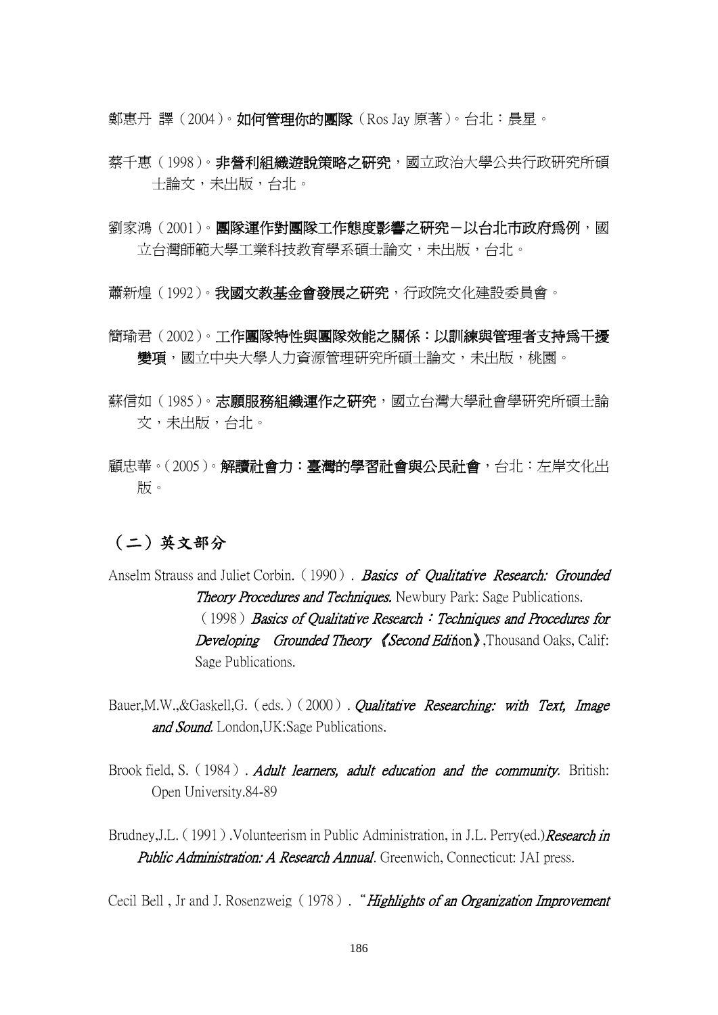鄭惠丹 譯 (2004)。**如何管理你的團隊** (Ros Jay 原著)。台北:晨星。

- 蔡千惠(1998)。**非營利組織遊說策略之研究**,國立政治大學公共行政研究所碩 士論文,未出版,台北。
- 劉家鴻(2001)。團隊運作對團隊工作態度影響之研究-以台北市政府爲例,國 立台灣師範大學工業科技教育學系碩士論文,未出版,台北。

蕭新煌 (1992)。我國文教基金會發展之研究, 行政院文化建設委員會。

- 簡瑜君(2002)。工作團隊特性與團隊效能之關係:以訓練與管理者支持為干擾 **變項**,國立中央大學人力資源管理研究所碩士論文,未出版,桃園。
- 蘇信如(1985)。志願服務組織運作之研究,國立台灣大學社會學研究所碩士論 文,未出版,台北。
- 顧忠華。(2005)。解讀社會力:臺灣的學習社會與公民社會,台北:左岸文化出 版。

## (二)英文部分

- Anselm Strauss and Juliet Corbin. (1990). Basics of Qualitative Research: Grounded Theory Procedures and Techniques. Newbury Park: Sage Publications.  $(1998)$  Basics of Qualitative Research: Techniques and Procedures for Developing Grounded Theory *(Second Edit*ion), Thousand Oaks, Calif: Sage Publications.
- Bauer, M.W., & Gaskell, G. (eds.)(2000). *Qualitative Researching: with Text, Image* and Sound. London, UK: Sage Publications.
- Brook field, S. (1984). Adult learners, adult education and the community. British: Open University.84-89
- Brudney, J.L. (1991). Volunteerism in Public Administration, in J.L. Perry(ed.) Research in Public Administration: A Research Annual. Greenwich, Connecticut: JAI press.

Cecil Bell, Jr and J. Rosenzweig (1978). "Highlights of an Organization Improvement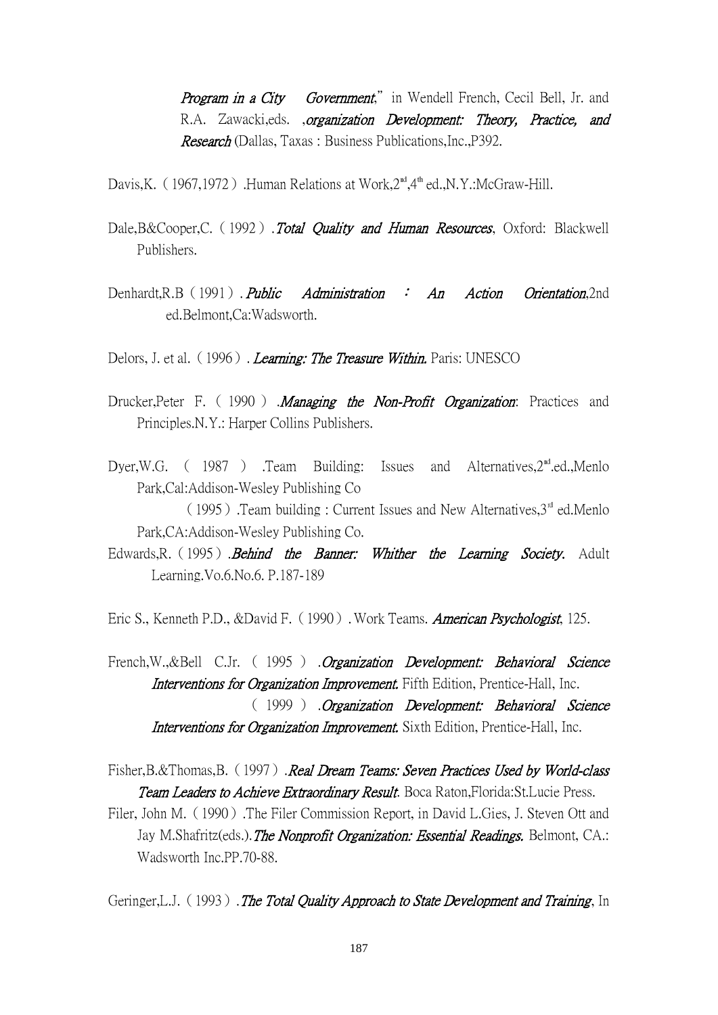**Program in a City** Government," in Wendell French, Cecil Bell, Jr. and R.A. Zawacki, eds. *organization Development: Theory, Practice, and* Research (Dallas, Taxas : Business Publications,Inc.,P392.

Davis, K. (1967, 1972). Human Relations at Work,  $2<sup>nd</sup>$ ,  $4<sup>th</sup>$  ed., N.Y.: McGraw-Hill.

- Dale, B&Cooper, C. (1992). Total Quality and Human Resources, Oxford: Blackwell Publishers.
- Denhardt,R.B (1991). *Public Administration* : An Action Orientation,2nd ed.Belmont,Ca:Wadsworth.
- Delors, J. et al. (1996). Learning: The Treasure Within. Paris: UNESCO
- Drucker, Peter F. (1990) .*Managing the Non-Profit Organization*: Practices and Principles.N.Y.: Harper Collins Publishers.
- Dyer, W.G. ( 1987 ) .Team Building: Issues and Alternatives,  $2<sup>nd</sup>$ .ed., Menlo Park,Cal:Addison-Wesley Publishing Co (1995). Team building : Current Issues and New Alternatives,  $3<sup>rd</sup>$  ed.Menlo

Park,CA:Addison-Wesley Publishing Co.

Edwards, R. (1995). Behind the Banner: Whither the Learning Society. Adult Learning.Vo.6.No.6. P.187-189

Eric S., Kenneth P.D., &David F. (1990). Work Teams. American Psychologist, 125.

French, W., & Bell C.Jr. ( 1995 ) . Organization Development: Behavioral Science Interventions for Organization Improvement. Fifth Edition, Prentice-Hall, Inc. ( 1999 ) .Organization Development: Behavioral Science Interventions for Organization Improvement. Sixth Edition, Prentice-Hall, Inc.

Fisher, B.&Thomas, B. (1997). Real Dream Teams: Seven Practices Used by World-class Team Leaders to Achieve Extraordinary Result. Boca Raton, Florida: St. Lucie Press.

Filer, John M.(1990).The Filer Commission Report, in David L.Gies, J. Steven Ott and Jay M.Shafritz(eds.). The Nonprofit Organization: Essential Readings. Belmont, CA.: Wadsworth Inc.PP.70-88.

Geringer, L.J. (1993). The Total Quality Approach to State Development and Training, In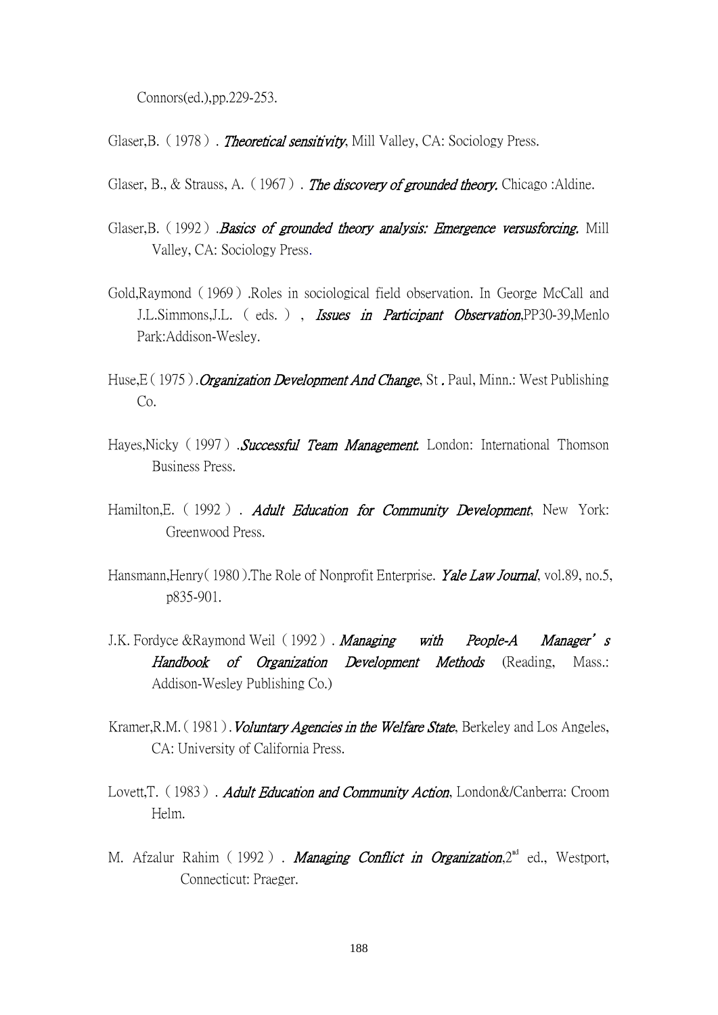Connors(ed.),pp.229-253.

Glaser, B. (1978). Theoretical sensitivity, Mill Valley, CA: Sociology Press.

Glaser, B., & Strauss, A. (1967). The discovery of grounded theory. Chicago: Aldine.

- Glaser, B. (1992). Basics of grounded theory analysis: Emergence versusforcing. Mill Valley, CA: Sociology Press.
- Gold,Raymond(1969).Roles in sociological field observation. In George McCall and J.L.Simmons, J.L. (eds.), *Issues in Participant Observation*, PP30-39, Menlo Park:Addison-Wesley.
- Huse, E(1975). *Organization Development And Change*, St. Paul, Minn.: West Publishing Co.
- Hayes, Nicky (1997). Successful Team Management. London: International Thomson Business Press.
- Hamilton, E. (1992). Adult Education for Community Development, New York: Greenwood Press.
- Hansmann, Henry(1980). The Role of Nonprofit Enterprise. Yale Law Journal, vol.89, no.5, p835-901.
- J.K. Fordyce &Raymond Weil (1992). Managing with People-A Manager's Handbook of Organization Development Methods (Reading, Mass.: Addison-Wesley Publishing Co.)
- Kramer, R.M. (1981). *Voluntary Agencies in the Welfare State*, Berkeley and Los Angeles, CA: University of California Press.
- Lovett, T. (1983). Adult Education and Community Action, London&/Canberra: Croom Helm.
- M. Afzalur Rahim (1992). Managing Conflict in Organization,  $2<sup>nd</sup>$  ed., Westport, Connecticut: Praeger.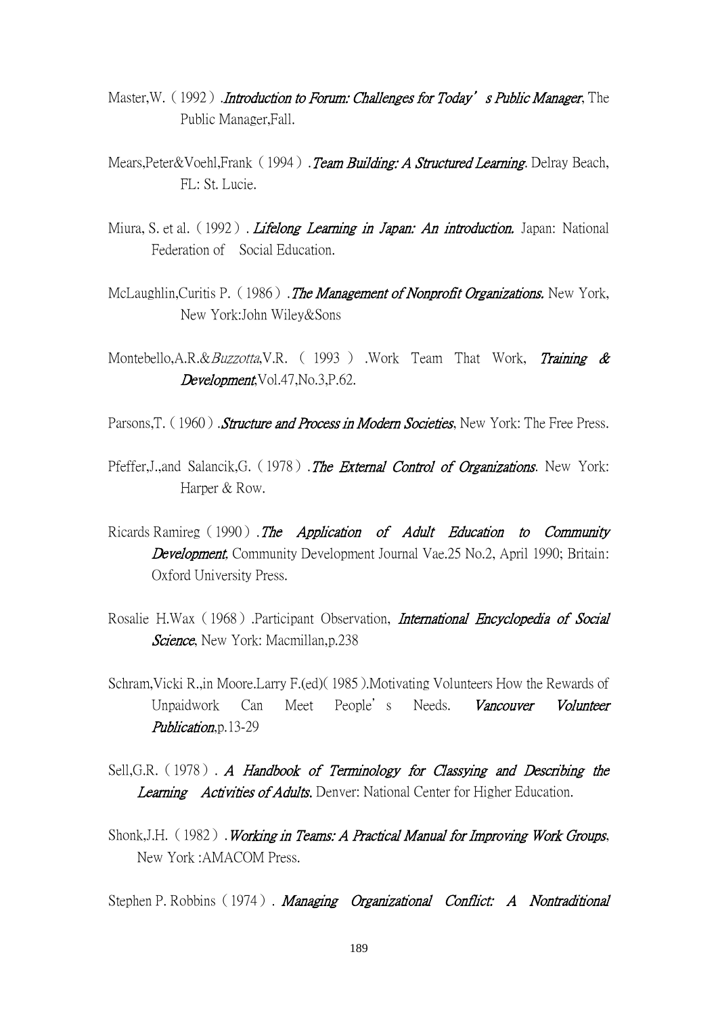- Master, W. (1992). *Introduction to Forum: Challenges for Today's Public Manager*, The Public Manager,Fall.
- Mears,Peter&Voehl,Frank (1994). Team Building: A Structured Learning. Delray Beach, FL: St. Lucie.
- Miura, S. et al. (1992). Lifelong Learning in Japan: An introduction. Japan: National Federation of Social Education.
- McLaughlin, Curitis P. (1986). The Management of Nonprofit Organizations. New York, New York:John Wiley&Sons
- Montebello, A.R. & Buzzotta, V.R. (1993) . Work Team That Work, Training & Development,Vol.47,No.3,P.62.
- Parsons, T. (1960). Structure and Process in Modern Societies. New York: The Free Press.
- Pfeffer,J.,and Salancik,G. (1978). The External Control of Organizations. New York: Harper & Row.
- Ricards Ramireg (1990). The Application of Adult Education to Community Development, Community Development Journal Vae.25 No.2, April 1990; Britain: Oxford University Press.
- Rosalie H.Wax (1968) .Participant Observation, *International Encyclopedia of Social* Science, New York: Macmillan, p.238
- Schram,Vicki R.,in Moore.Larry F.(ed)(1985).Motivating Volunteers How the Rewards of Unpaidwork Can Meet People's Needs. Vancouver Volunteer Publication, p.13-29
- Sell, G.R. (1978). A Handbook of Terminology for Classying and Describing the Learning Activities of Adults. Denver: National Center for Higher Education.
- Shonk, J.H. (1982). Working in Teams: A Practical Manual for Improving Work Groups, New York :AMACOM Press.

Stephen P. Robbins (1974). Managing Organizational Conflict: A Nontraditional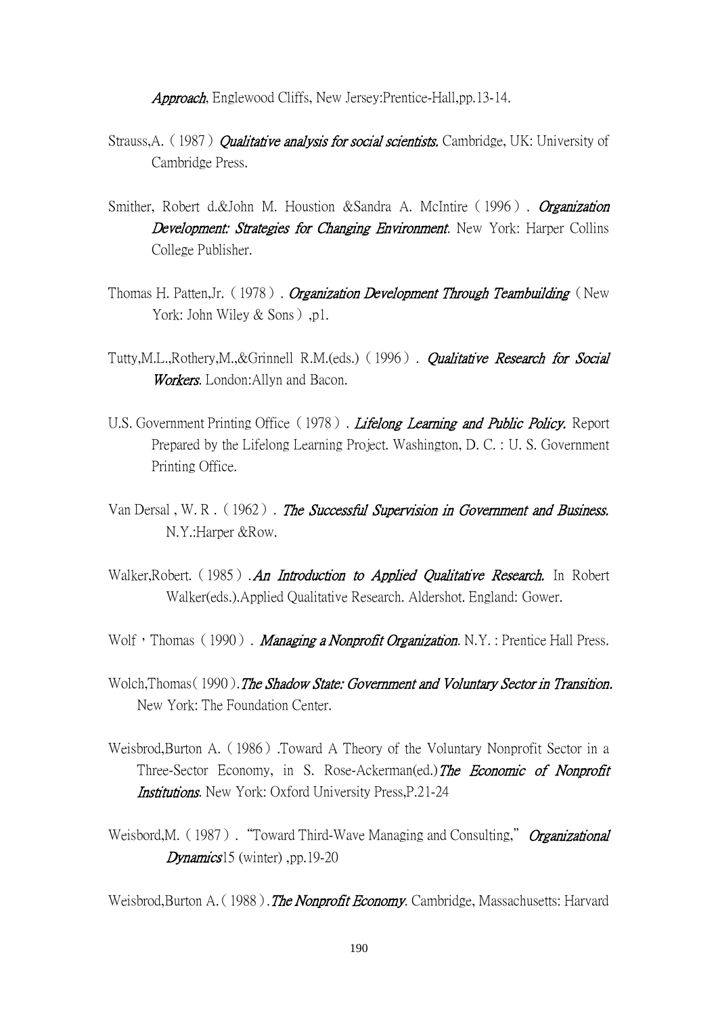Approach, Englewood Cliffs, New Jersey: Prentice-Hall,pp.13-14.

- Strauss, A. (1987) *Qualitative analysis for social scientists*. Cambridge, UK: University of Cambridge Press.
- Smither, Robert d.&John M. Houstion &Sandra A. McIntire (1996). Organization Development: Strategies for Changing Environment. New York: Harper Collins College Publisher.
- Thomas H. Patten, Jr.  $(1978)$ . *Organization Development Through Teambuilding* (New York: John Wiley & Sons),p1.
- Tutty,M.L.,Rothery,M.,&Grinnell R.M.(eds.) (1996). *Qualitative Research for Social* Workers. London: Allyn and Bacon.
- U.S. Government Printing Office (1978). Lifelong Learning and Public Policy. Report Prepared by the Lifelong Learning Project. Washington, D. C. : U. S. Government Printing Office.
- Van Dersal, W. R. (1962). The Successful Supervision in Government and Business. N.Y.:Harper &Row.
- Walker, Robert. (1985). An Introduction to Applied Qualitative Research. In Robert Walker(eds.).Applied Qualitative Research. Aldershot. England: Gower.
- Wolf, Thomas (1990). Managing a Nonprofit Organization. N.Y. : Prentice Hall Press.
- Wolch, Thomas (1990). The Shadow State: Government and Voluntary Sector in Transition. New York: The Foundation Center.
- Weisbrod, Burton A. (1986). Toward A Theory of the Voluntary Nonprofit Sector in a Three-Sector Economy, in S. Rose-Ackerman(ed.) The Economic of Nonprofit Institutions. New York: Oxford University Press, P.21-24
- Weisbord,M. (1987). "Toward Third-Wave Managing and Consulting," *Organizational*  $Dynamics15$  (winter), pp.19-20

Weisbrod, Burton A. (1988). The Nonprofit Economy. Cambridge, Massachusetts: Harvard